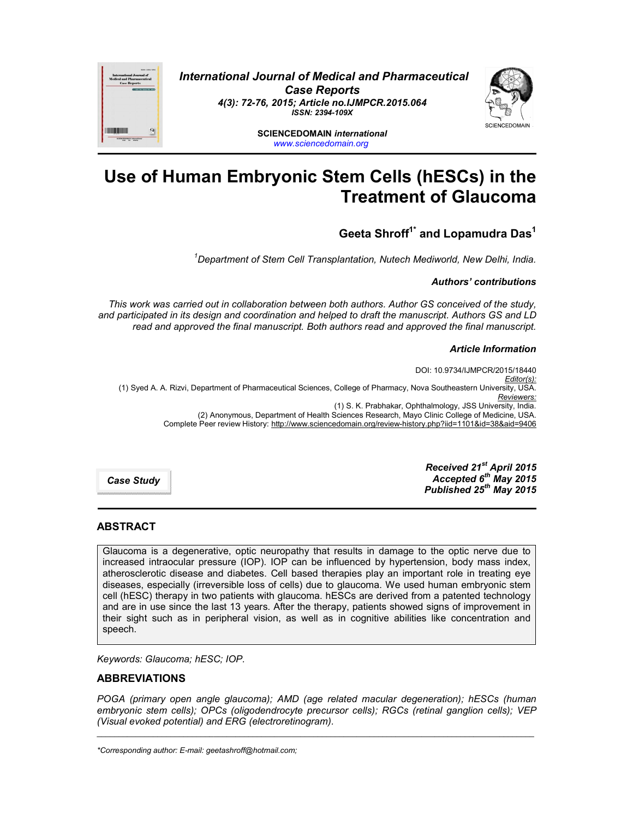

*International Journal of Medical and Pharmaceutical Case Reports 4(3): 72-76, 2015; Article no.IJMPCR.2015.064 ISSN: 2394-109X*

> **SCIENCEDOMAIN** *international www.sciencedomain.org*

# **Use of Human Embryonic Stem Cells (hESCs) in the Treatment of Glaucoma**

# **Geeta Shroff1\* and Lopamudra Das1**

*1 Department of Stem Cell Transplantation, Nutech Mediworld, New Delhi, India.*

*Authors' contributions*

*This work was carried out in collaboration between both authors. Author GS conceived of the study, and participated in its design and coordination and helped to draft the manuscript. Authors GS and LD read and approved the final manuscript. Both authors read and approved the final manuscript.*

#### *Article Information*

DOI: 10.9734/IJMPCR/2015/18440 *Editor(s):* (1) Syed A. A. Rizvi, Department of Pharmaceutical Sciences, College of Pharmacy, Nova Southeastern University, USA. *Reviewers:* (1) S. K. Prabhakar, Ophthalmology, JSS University, India. (2) Anonymous, Department of Health Sciences Research, Mayo Clinic College of Medicine, USA. Complete Peer review History: http://www.sciencedomain.org/review-history.php?iid=1101&id=38&aid=9406

*Case Study*

*Received 21st April 2015 Accepted 6th May 2015 Published 25th May 2015*

# **ABSTRACT**

Glaucoma is a degenerative, optic neuropathy that results in damage to the optic nerve due to increased intraocular pressure (IOP). IOP can be influenced by hypertension, body mass index, atherosclerotic disease and diabetes. Cell based therapies play an important role in treating eye diseases, especially (irreversible loss of cells) due to glaucoma. We used human embryonic stem cell (hESC) therapy in two patients with glaucoma. hESCs are derived from a patented technology and are in use since the last 13 years. After the therapy, patients showed signs of improvement in their sight such as in peripheral vision, as well as in cognitive abilities like concentration and speech.

*Keywords: Glaucoma; hESC; IOP.*

# **ABBREVIATIONS**

*POGA (primary open angle glaucoma); AMD (age related macular degeneration); hESCs (human embryonic stem cells); OPCs (oligodendrocyte precursor cells); RGCs (retinal ganglion cells); VEP (Visual evoked potential) and ERG (electroretinogram).*

\_\_\_\_\_\_\_\_\_\_\_\_\_\_\_\_\_\_\_\_\_\_\_\_\_\_\_\_\_\_\_\_\_\_\_\_\_\_\_\_\_\_\_\_\_\_\_\_\_\_\_\_\_\_\_\_\_\_\_\_\_\_\_\_\_\_\_\_\_\_\_\_\_\_\_\_\_\_\_\_\_\_\_\_\_\_\_\_\_\_\_\_\_\_\_\_\_\_\_\_\_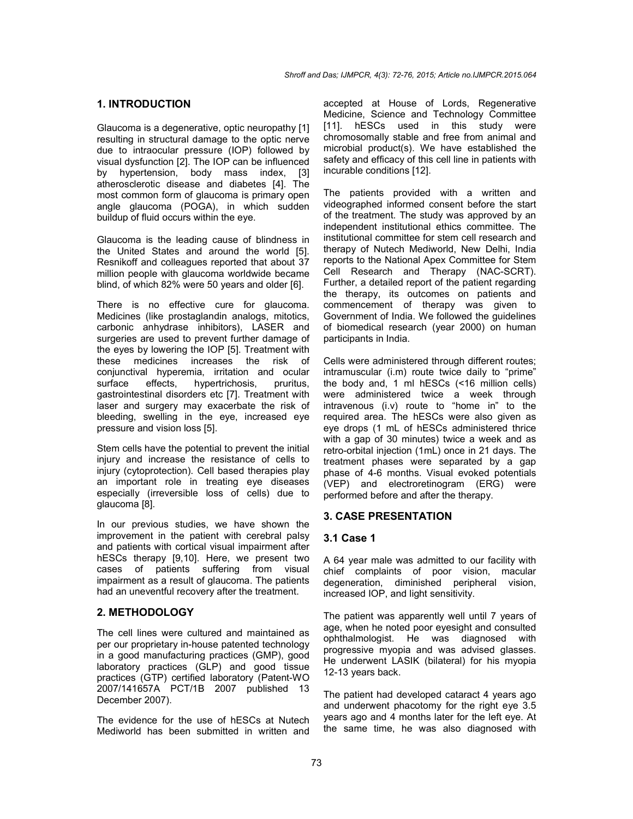# **1. INTRODUCTION**

Glaucoma is a degenerative, optic neuropathy [1] resulting in structural damage to the optic nerve due to intraocular pressure (IOP) followed by visual dysfunction [2]. The IOP can be influenced by hypertension, body mass index, [3] atherosclerotic disease and diabetes [4]. The most common form of glaucoma is primary open angle glaucoma (POGA), in which sudden buildup of fluid occurs within the eye.

Glaucoma is the leading cause of blindness in the United States and around the world [5]. Resnikoff and colleagues reported that about 37 million people with glaucoma worldwide became blind, of which 82% were 50 years and older [6].

There is no effective cure for glaucoma. Medicines (like prostaglandin analogs, mitotics, carbonic anhydrase inhibitors), LASER and surgeries are used to prevent further damage of the eyes by lowering the IOP [5]. Treatment with these medicines increases the risk of conjunctival hyperemia, irritation and ocular surface effects, hypertrichosis, pruritus, gastrointestinal disorders etc [7]. Treatment with laser and surgery may exacerbate the risk of bleeding, swelling in the eye, increased eye pressure and vision loss [5].

Stem cells have the potential to prevent the initial injury and increase the resistance of cells to injury (cytoprotection). Cell based therapies play an important role in treating eye diseases especially (irreversible loss of cells) due to glaucoma [8].

In our previous studies, we have shown the improvement in the patient with cerebral palsy and patients with cortical visual impairment after hESCs therapy [9,10]. Here, we present two cases of patients suffering from visual impairment as a result of glaucoma. The patients had an uneventful recovery after the treatment.

# **2. METHODOLOGY**

The cell lines were cultured and maintained as per our proprietary in-house patented technology in a good manufacturing practices (GMP), good laboratory practices (GLP) and good tissue practices (GTP) certified laboratory (Patent-WO 2007/141657A PCT/1B 2007 published 13 December 2007).

The evidence for the use of hESCs at Nutech Mediworld has been submitted in written and accepted at House of Lords, Regenerative Medicine, Science and Technology Committee [11]. hESCs used in this study were chromosomally stable and free from animal and microbial product(s). We have established the safety and efficacy of this cell line in patients with incurable conditions [12].

The patients provided with a written and videographed informed consent before the start of the treatment. The study was approved by an independent institutional ethics committee. The institutional committee for stem cell research and therapy of Nutech Mediworld, New Delhi, India reports to the National Apex Committee for Stem Cell Research and Therapy (NAC-SCRT). Further, a detailed report of the patient regarding the therapy, its outcomes on patients and commencement of therapy was given to Government of India. We followed the guidelines of biomedical research (year 2000) on human participants in India.

Cells were administered through different routes; intramuscular (i.m) route twice daily to "prime" the body and, 1 ml hESCs (<16 million cells) were administered twice a week through intravenous (i.v) route to "home in" to the required area. The hESCs were also given as eye drops (1 mL of hESCs administered thrice with a gap of 30 minutes) twice a week and as retro-orbital injection (1mL) once in 21 days. The treatment phases were separated by a gap phase of 4-6 months. Visual evoked potentials (VEP) and electroretinogram (ERG) were performed before and after the therapy.

# **3. CASE PRESENTATION**

# **3.1 Case 1**

A 64 year male was admitted to our facility with chief complaints of poor vision, macular degeneration, diminished peripheral vision, increased IOP, and light sensitivity.

The patient was apparently well until 7 years of age, when he noted poor eyesight and consulted ophthalmologist. He was diagnosed with progressive myopia and was advised glasses. He underwent LASIK (bilateral) for his myopia 12-13 years back.

The patient had developed cataract 4 years ago and underwent phacotomy for the right eye 3.5 years ago and 4 months later for the left eye. At the same time, he was also diagnosed with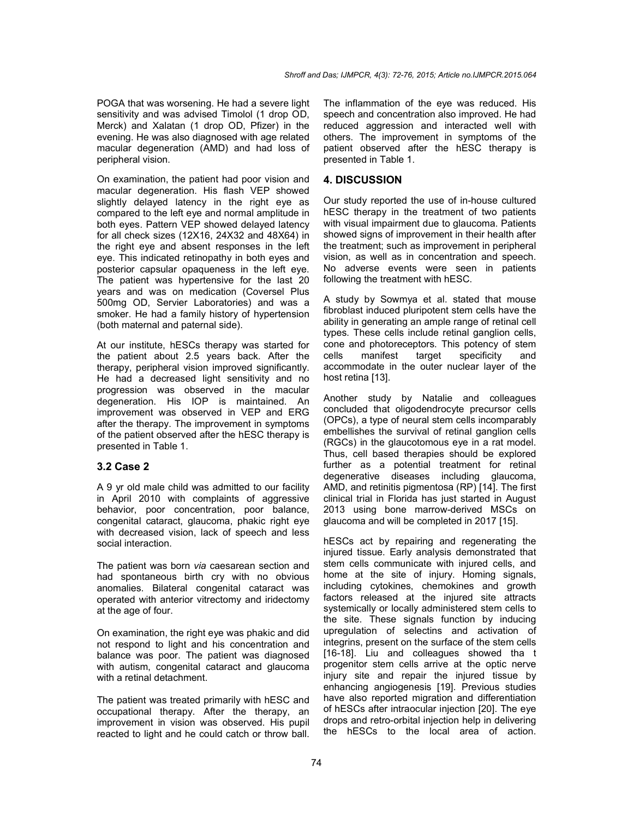POGA that was worsening. He had a severe light sensitivity and was advised Timolol (1 drop OD, Merck) and Xalatan (1 drop OD, Pfizer) in the evening. He was also diagnosed with age related macular degeneration (AMD) and had loss of peripheral vision.

On examination, the patient had poor vision and macular degeneration. His flash VEP showed slightly delayed latency in the right eye as compared to the left eye and normal amplitude in both eyes. Pattern VEP showed delayed latency for all check sizes (12X16, 24X32 and 48X64) in the right eye and absent responses in the left eye. This indicated retinopathy in both eyes and posterior capsular opaqueness in the left eye. The patient was hypertensive for the last 20 years and was on medication (Coversel Plus 500mg OD, Servier Laboratories) and was a smoker. He had a family history of hypertension (both maternal and paternal side).

At our institute, hESCs therapy was started for the patient about 2.5 years back. After the therapy, peripheral vision improved significantly. He had a decreased light sensitivity and no progression was observed in the macular degeneration. His IOP is maintained. An improvement was observed in VEP and ERG after the therapy. The improvement in symptoms of the patient observed after the hESC therapy is presented in Table 1.

# **3.2 Case 2**

A 9 yr old male child was admitted to our facility in April 2010 with complaints of aggressive behavior, poor concentration, poor balance, congenital cataract, glaucoma, phakic right eye with decreased vision, lack of speech and less social interaction.

The patient was born *via* caesarean section and had spontaneous birth cry with no obvious anomalies. Bilateral congenital cataract was operated with anterior vitrectomy and iridectomy at the age of four.

On examination, the right eye was phakic and did not respond to light and his concentration and balance was poor. The patient was diagnosed with autism, congenital cataract and glaucoma with a retinal detachment.

The patient was treated primarily with hESC and occupational therapy. After the therapy, an improvement in vision was observed. His pupil reacted to light and he could catch or throw ball. The inflammation of the eye was reduced. His speech and concentration also improved. He had reduced aggression and interacted well with others. The improvement in symptoms of the patient observed after the hESC therapy is presented in Table 1.

# **4. DISCUSSION**

Our study reported the use of in-house cultured hESC therapy in the treatment of two patients with visual impairment due to glaucoma. Patients showed signs of improvement in their health after the treatment; such as improvement in peripheral vision, as well as in concentration and speech. No adverse events were seen in patients following the treatment with hESC.

A study by Sowmya et al. stated that mouse fibroblast induced pluripotent stem cells have the ability in generating an ample range of retinal cell types. These cells include retinal ganglion cells, cone and photoreceptors. This potency of stem cells manifest target specificity and accommodate in the outer nuclear layer of the host retina [13].

Another study by Natalie and colleagues concluded that oligodendrocyte precursor cells (OPCs), a type of neural stem cells incomparably embellishes the survival of retinal ganglion cells (RGCs) in the glaucotomous eye in a rat model. Thus, cell based therapies should be explored further as a potential treatment for retinal degenerative diseases including glaucoma, AMD, and retinitis pigmentosa (RP) [14]. The first clinical trial in Florida has just started in August 2013 using bone marrow-derived MSCs on glaucoma and will be completed in 2017 [15].

hESCs act by repairing and regenerating the injured tissue. Early analysis demonstrated that stem cells communicate with injured cells, and home at the site of injury. Homing signals, including cytokines, chemokines and growth factors released at the injured site attracts systemically or locally administered stem cells to the site. These signals function by inducing upregulation of selectins and activation of integrins, present on the surface of the stem cells [16-18]. Liu and colleagues showed tha t progenitor stem cells arrive at the optic nerve injury site and repair the injured tissue by enhancing angiogenesis [19]. Previous studies have also reported migration and differentiation of hESCs after intraocular injection [20]. The eye drops and retro-orbital injection help in delivering the hESCs to the local area of action.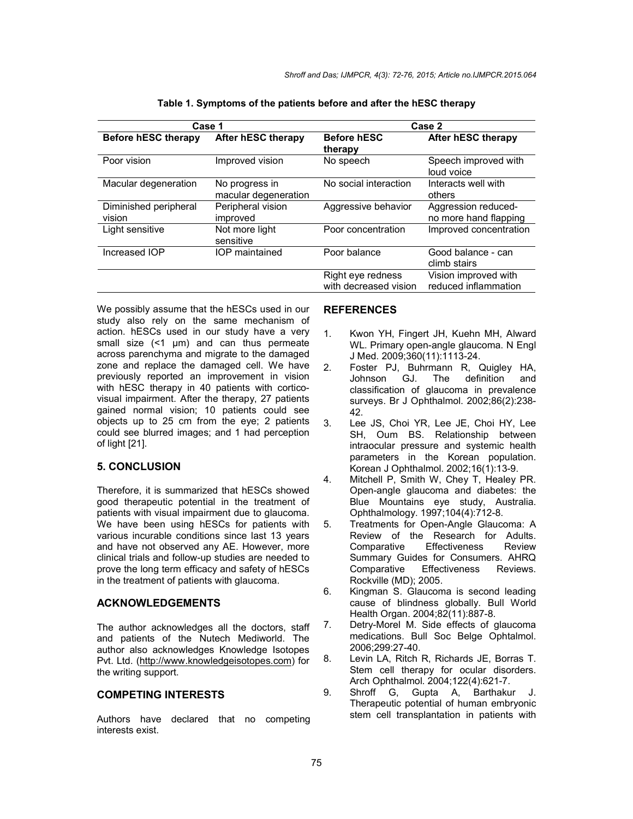| Case 1                          |                                        | Case 2                                     |                                              |
|---------------------------------|----------------------------------------|--------------------------------------------|----------------------------------------------|
| <b>Before hESC therapy</b>      | After hESC therapy                     | <b>Before hESC</b><br>therapy              | After hESC therapy                           |
| Poor vision                     | Improved vision                        | No speech                                  | Speech improved with<br>loud voice           |
| Macular degeneration            | No progress in<br>macular degeneration | No social interaction                      | Interacts well with<br>others                |
| Diminished peripheral<br>vision | Peripheral vision<br>improved          | Aggressive behavior                        | Aggression reduced-<br>no more hand flapping |
| Light sensitive                 | Not more light<br>sensitive            | Poor concentration                         | Improved concentration                       |
| Increased IOP                   | IOP maintained                         | Poor balance                               | Good balance - can<br>climb stairs           |
|                                 |                                        | Right eye redness<br>with decreased vision | Vision improved with<br>reduced inflammation |

| Table 1. Symptoms of the patients before and after the hESC therapy |  |  |  |
|---------------------------------------------------------------------|--|--|--|
|---------------------------------------------------------------------|--|--|--|

We possibly assume that the hESCs used in our study also rely on the same mechanism of action. hESCs used in our study have a very small size (<1 µm) and can thus permeate across parenchyma and migrate to the damaged zone and replace the damaged cell. We have previously reported an improvement in vision with hESC therapy in 40 patients with corticovisual impairment. After the therapy, 27 patients gained normal vision; 10 patients could see objects up to 25 cm from the eye; 2 patients could see blurred images; and 1 had perception of light [21].

#### **5. CONCLUSION**

Therefore, it is summarized that hESCs showed good therapeutic potential in the treatment of patients with visual impairment due to glaucoma. We have been using hESCs for patients with various incurable conditions since last 13 years and have not observed any AE. However, more clinical trials and follow-up studies are needed to prove the long term efficacy and safety of hESCs in the treatment of patients with glaucoma.

#### **ACKNOWLEDGEMENTS**

The author acknowledges all the doctors, staff and patients of the Nutech Mediworld. The author also acknowledges Knowledge Isotopes Pvt. Ltd. (http://www.knowledgeisotopes.com) for the writing support.

#### **COMPETING INTERESTS**

Authors have declared that no competing interests exist.

# **REFERENCES**

- 1. Kwon YH, Fingert JH, Kuehn MH, Alward WL. Primary open-angle glaucoma. N Engl J Med. 2009;360(11):1113-24.
- 2. Foster PJ, Buhrmann R, Quigley HA, Johnson GJ. The definition and classification of glaucoma in prevalence surveys. Br J Ophthalmol. 2002;86(2):238- 42.
- 3. Lee JS, Choi YR, Lee JE, Choi HY, Lee SH, Oum BS. Relationship between intraocular pressure and systemic health parameters in the Korean population. Korean J Ophthalmol. 2002;16(1):13-9.
- 4. Mitchell P, Smith W, Chey T, Healey PR. Open-angle glaucoma and diabetes: the Blue Mountains eye study, Australia. Ophthalmology. 1997;104(4):712-8.
- 5. Treatments for Open-Angle Glaucoma: A Review of the Research for Adults.<br>Comparative Effectiveness Review Comparative Effectiveness Review Summary Guides for Consumers. AHRQ<br>Comparative Effectiveness Reviews. Effectiveness Rockville (MD); 2005.
- 6. Kingman S. Glaucoma is second leading cause of blindness globally. Bull World Health Organ. 2004;82(11):887-8.
- 7. Detry-Morel M. Side effects of glaucoma medications. Bull Soc Belge Ophtalmol. 2006;299:27-40.
- 8. Levin LA, Ritch R, Richards JE, Borras T. Stem cell therapy for ocular disorders. Arch Ophthalmol. 2004;122(4):621-7.
- 9. Shroff G, Gupta A, Barthakur J. Therapeutic potential of human embryonic stem cell transplantation in patients with